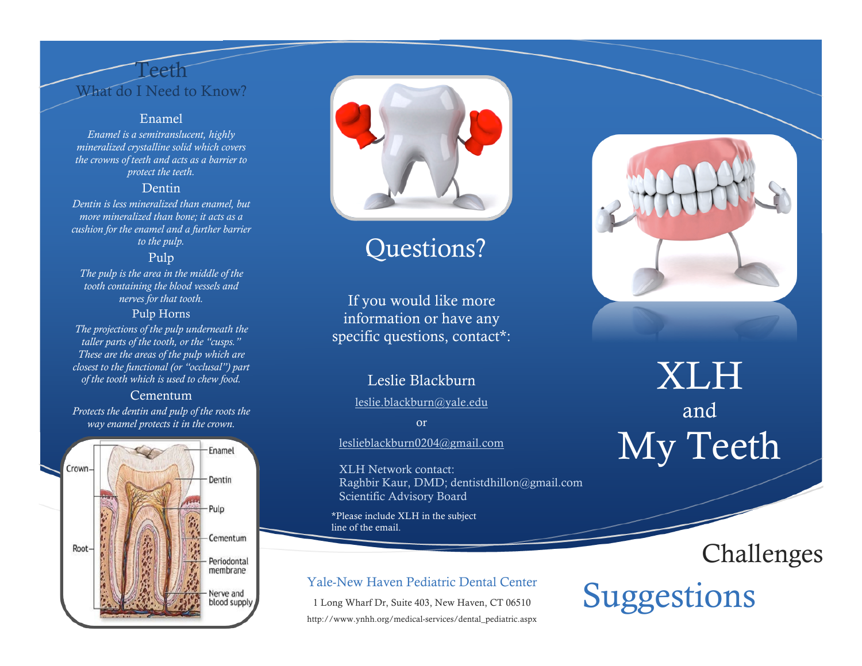## Teeth What do I Need to Know?

#### Enamel

*Enamel is a semitranslucent, highly mineralized crystalline solid which covers the crowns of teeth and acts as a barrier to protect the teeth.*

#### Dentin

*Dentin is less mineralized than enamel, but more mineralized than bone; it acts as a cushion for the enamel and a further barrier to the pulp.*

## Pulp

*The pulp is the area in the middle of the tooth containing the blood vessels and nerves for that tooth.*

#### Pulp Horns

*The projections of the pulp underneath the taller parts of the tooth, or the "cusps." These are the areas of the pulp which are closest to the functional (or "occlusal") part of the tooth which is used to chew food.*

#### Cementum

*Protects the dentin and pulp of the roots the way enamel protects it in the crown.*





## Questions?

If you would like more information or have any specific questions, contact\*:

## Leslie Blackburn

leslie.blackburn@yale.edu

or

leslieblackburn0204@gmail.com

XLH Network contact: Raghbir Kaur, DMD; dentistdhillon@gmail.com Scientific Advisory Board

\*Please include XLH in the subject line of the email.

1 Long Wharf Dr, Suite 403, New Haven, CT 06510 http://www.ynhh.org/medical-services/dental\_pediatric.aspx



## XLH and My Teeth

## Challenges

## Yale-New Haven Pediatric Dental Center<br>1 Long Wharf Dr, Suite 403, New Haven, CT 06510<br>
Suggestions